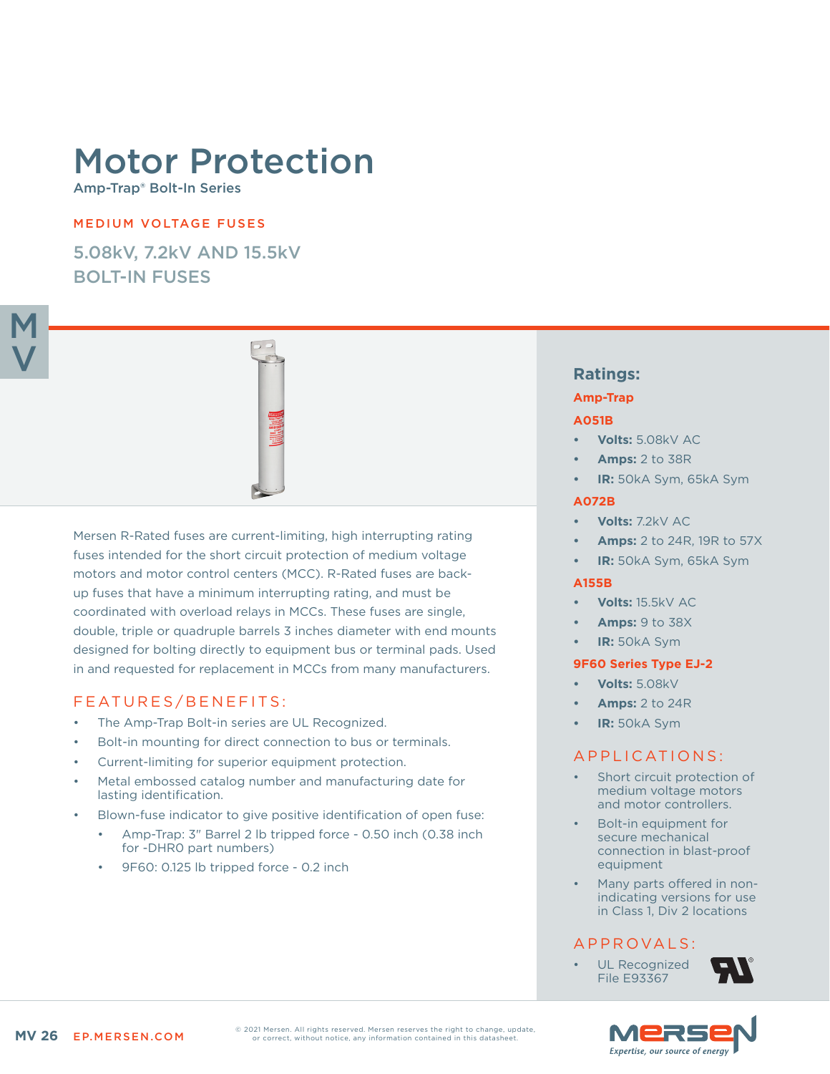# Motor Protection

Amp-Trap® Bolt-In Series

#### MEDIUM VOLTAGE FUSES

5.08kV, 7.2kV AND 15.5kV BOLT-IN FUSES



Mersen R-Rated fuses are current-limiting, high interrupting rating fuses intended for the short circuit protection of medium voltage motors and motor control centers (MCC). R-Rated fuses are backup fuses that have a minimum interrupting rating, and must be coordinated with overload relays in MCCs. These fuses are single, double, triple or quadruple barrels 3 inches diameter with end mounts designed for bolting directly to equipment bus or terminal pads. Used in and requested for replacement in MCCs from many manufacturers.

# FEATURES/BENEFITS:

- The Amp-Trap Bolt-in series are UL Recognized.
- Bolt-in mounting for direct connection to bus or terminals.
- Current-limiting for superior equipment protection.
- Metal embossed catalog number and manufacturing date for lasting identification.
- Blown-fuse indicator to give positive identification of open fuse:
	- Amp-Trap: 3" Barrel 2 lb tripped force 0.50 inch (0.38 inch for -DHR0 part numbers)
	- 9F60: 0.125 lb tripped force 0.2 inch

# **Ratings:**

#### **Amp-Trap**

#### **A051B**

- **• Volts:** 5.08kV AC
- **• Amps:** 2 to 38R
- **• IR:** 50kA Sym, 65kA Sym

#### **A072B**

- **• Volts:** 7.2kV AC
- **• Amps:** 2 to 24R, 19R to 57X
- **• IR:** 50kA Sym, 65kA Sym

#### **A155B**

- **• Volts:** 15.5kV AC
- **• Amps:** 9 to 38X
- **• IR:** 50kA Sym

#### **9F60 Series Type EJ-2**

- **• Volts:** 5.08kV
- **• Amps:** 2 to 24R
- **• IR:** 50kA Sym

## APPLICATIONS:

- Short circuit protection of medium voltage motors and motor controllers.
- Bolt-in equipment for secure mechanical connection in blast-proof equipment
- Many parts offered in nonindicating versions for use in Class 1, Div 2 locations

## A P P R OVA L S :

UL Recognized File E93367



© 2021 Mersen. All rights reserved. Mersen reserves the right to change, update, or correct, without notice, any information contained in this datasheet.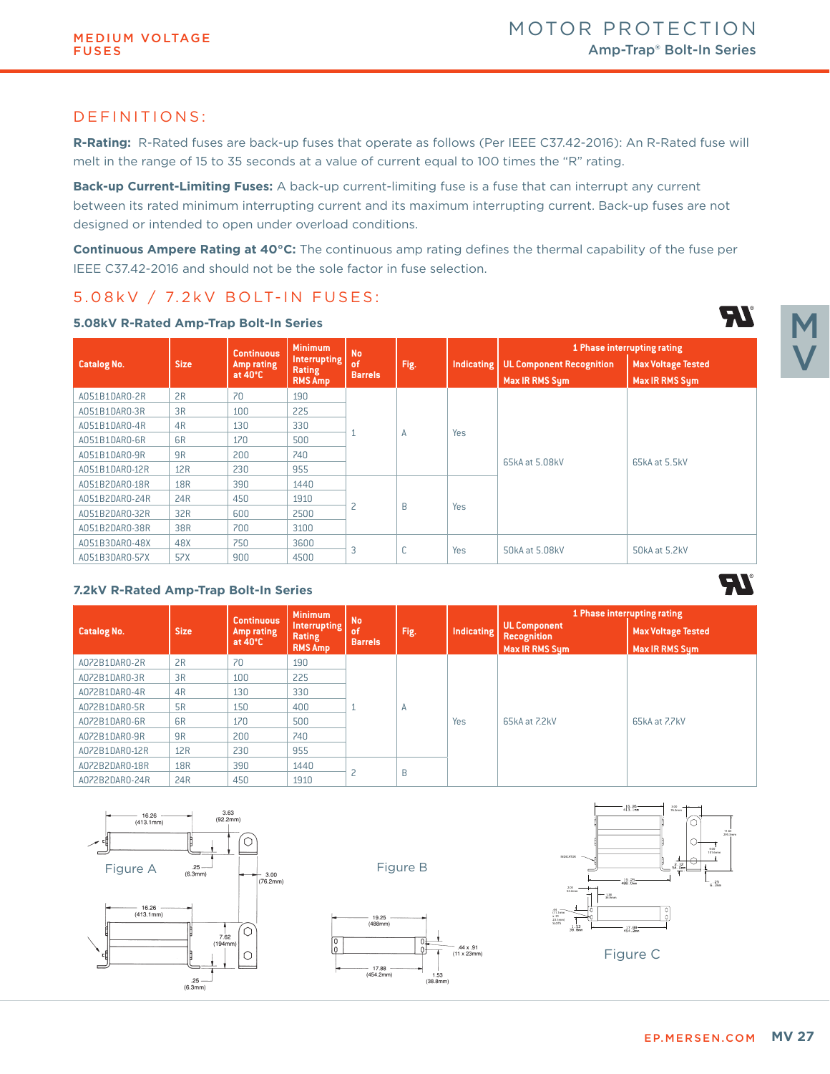#### DEFINITIONS:

**R-Rating:** R-Rated fuses are back-up fuses that operate as follows (Per IEEE C37.42-2016): An R-Rated fuse will melt in the range of 15 to 35 seconds at a value of current equal to 100 times the "R" rating.

**Back-up Current-Limiting Fuses:** A back-up current-limiting fuse is a fuse that can interrupt any current between its rated minimum interrupting current and its maximum interrupting current. Back-up fuses are not designed or intended to open under overload conditions.

**Continuous Ampere Rating at 40°C:** The continuous amp rating defines the thermal capability of the fuse per IEEE C37.42-2016 and should not be the sole factor in fuse selection.

# 5.08 kV / 7.2 k V BOLT-IN FUSES:

|                    |                | <b>Continuous</b>               | <b>Minimum</b>                | <b>No</b>             | Fig.        |            | 1 Phase interrupting rating     |                           |  |
|--------------------|----------------|---------------------------------|-------------------------------|-----------------------|-------------|------------|---------------------------------|---------------------------|--|
| <b>Catalog No.</b> | <b>Size</b>    | Amp rating<br>at $40^{\circ}$ C | <b>Interrupting</b><br>Rating | of/<br><b>Barrels</b> |             | Indicating | <b>UL Component Recognition</b> | <b>Max Voltage Tested</b> |  |
|                    |                |                                 | <b>RMS Amp</b>                |                       |             |            | Max IR RMS Sym                  | <b>Max IR RMS Sym</b>     |  |
| A051B1DAR0-2R      | 2R             | 70                              | 190                           |                       | A           | Yes        | 65kA at 5.08kV                  | 65kA at 5.5kV             |  |
| A051B1DAR0-3R      | 3R             | 100                             | 225                           |                       |             |            |                                 |                           |  |
| A051B1DAR0-4R      | 4R             | 130                             | 330                           |                       |             |            |                                 |                           |  |
| A051B1DAR0-6R      | 6 <sub>R</sub> | 170                             | 500                           |                       |             |            |                                 |                           |  |
| A051B1DAR0-9R      | 9 <sub>R</sub> | 200                             | 740                           |                       |             |            |                                 |                           |  |
| A051B1DAR0-12R     | 12R            | 230                             | 955                           |                       |             |            |                                 |                           |  |
| A051B2DAR0-18R     | <b>18R</b>     | 390                             | 1440                          |                       |             |            |                                 |                           |  |
| A051B2DAR0-24R     | 24R            | 450                             | 1910                          |                       |             |            |                                 |                           |  |
| A051B2DAR0-32R     | 32R            | 600                             | 2500                          | 2                     | B           | Yes        |                                 |                           |  |
| A051B2DAR0-38R     | 38R            | 700                             | 3100                          |                       |             |            |                                 |                           |  |
| A051B3DAR0-48X     | 48X            | 750                             | 3600                          |                       | $\sim$<br>U | Yes        |                                 | 50kA at 5.2kV             |  |
| A051B3DAR0-57X     | 57X            | 900                             | 4500                          | 3                     |             |            | 50kA at 5.08kV                  |                           |  |

#### **5.08kV R-Rated Amp-Trap Bolt-In Series**

#### **7.2kV R-Rated Amp-Trap Bolt-In Series**

|                    |                | <b>Continuous</b>               | <b>Minimum</b>                                  | <b>No</b>                     |      |            | 1 Phase interrupting rating                                 |                                             |  |
|--------------------|----------------|---------------------------------|-------------------------------------------------|-------------------------------|------|------------|-------------------------------------------------------------|---------------------------------------------|--|
| <b>Catalog No.</b> | <b>Size</b>    | Amp rating<br>at $40^{\circ}$ C | <b>Interrupting</b><br>Rating<br><b>RMS Amp</b> | of<br><b>Barrels</b>          | Fig. | Indicating | <b>UL Component</b><br><b>Recognition</b><br>Max IR RMS Sum | <b>Max Voltage Tested</b><br>Max IR RMS Sum |  |
| A072B1DAR0-2R      | 2R             | 70                              | 190                                             |                               |      | <b>Yes</b> |                                                             | 65kA at 7.7kV                               |  |
| A072B1DAR0-3R      | 3R             | 100                             | 225                                             |                               | Α    |            |                                                             |                                             |  |
| A072B1DAR0-4R      | 4R             | 130                             | 330                                             |                               |      |            |                                                             |                                             |  |
| A072B1DAR0-5R      | <b>5R</b>      | 150                             | 400                                             |                               |      |            |                                                             |                                             |  |
| A072B1DAR0-6R      | 6 <sub>R</sub> | 170                             | 500                                             |                               |      |            | 65kA at 7.2kV                                               |                                             |  |
| A072B1DAR0-9R      | 9R             | 200                             | 740                                             |                               |      |            |                                                             |                                             |  |
| A072B1DAR0-12R     | 12R            | 230                             | 955                                             |                               |      |            |                                                             |                                             |  |
| A072B2DAR0-18R     | <b>18R</b>     | 390                             | 1440                                            | $\overline{\phantom{0}}$<br>c |      |            |                                                             |                                             |  |
| A072B2DAR0-24R     | 24R            | 450                             | 1910                                            |                               | B    |            |                                                             |                                             |  |

 $\frac{1}{0}$ 

 $1.53$ <br>(38.8mm)

 $-$  .44 x .91<br>(11 x 23mm)





# V

M

d I

71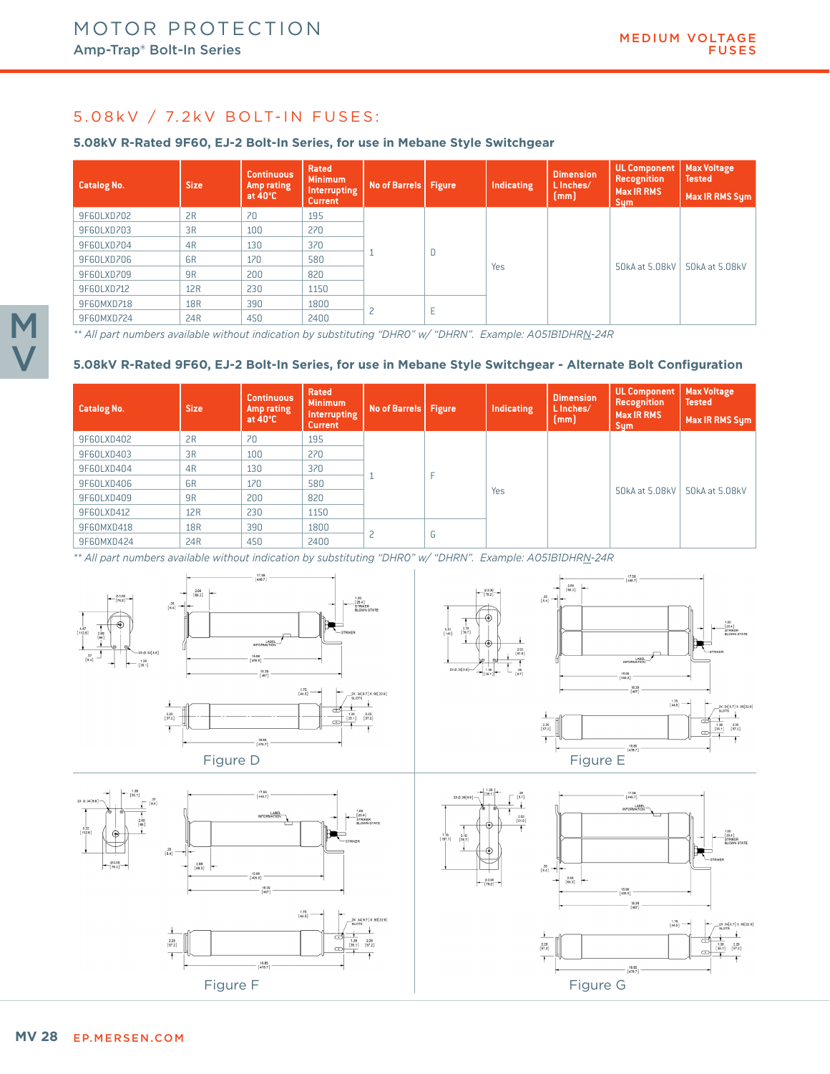# 5.08 kV / 7.2 kV BOLT-IN FUSES:

#### **5.08kV R-Rated 9F60, EJ-2 Bolt-In Series, for use in Mebane Style Switchgear**

| <b>Catalog No.</b> | <b>Size</b>    | <b>Continuous</b><br>Amp rating<br>at $40^{\circ}$ C | Rated<br><b>Minimum</b><br>Interrupting<br><b>Current</b> |                        |   | Indicating | <b>Dimension</b><br>L Inches/<br>[mm] | UL Component   Max Voltage<br><b>Recognition</b><br>Max IR RMS<br><b>Sym</b> | <b>Tested</b><br>Max IR RMS Sym |
|--------------------|----------------|------------------------------------------------------|-----------------------------------------------------------|------------------------|---|------------|---------------------------------------|------------------------------------------------------------------------------|---------------------------------|
| 9F60LXD702         | 2R             | 70                                                   | 195                                                       |                        |   |            |                                       |                                                                              |                                 |
| 9F60LXD703         | 3R             | 100                                                  | 270                                                       |                        |   |            |                                       |                                                                              |                                 |
| 9F60LXD704         | 4 <sub>R</sub> | 130                                                  | 370                                                       | No of Barrels   Figure |   |            |                                       |                                                                              |                                 |
| 9F60LXD706         | 6 <sub>R</sub> | 170                                                  | 580                                                       |                        | D | Yes        |                                       | 50kA at 5.08kV                                                               | 50kA at 5.08kV                  |
| 9F60LXD709         | 9 <sub>R</sub> | 200                                                  | 820                                                       |                        |   |            |                                       |                                                                              |                                 |
| 9F60LXD712         | 12R            | 230                                                  | 1150                                                      |                        |   |            |                                       |                                                                              |                                 |
| 9F60MXD718         | <b>18R</b>     | 390                                                  | 1800                                                      |                        |   |            |                                       |                                                                              |                                 |
| 9F60MXD724         | 24R            | 450                                                  | 2400                                                      |                        | Е |            |                                       |                                                                              |                                 |

*\*\* All part numbers available without indication by substituting "DHR0" w/ "DHRN". Example: A051B1DHRN-24R*

#### **5.08kV R-Rated 9F60, EJ-2 Bolt-In Series, for use in Mebane Style Switchgear - Alternate Bolt Configuration**

| <b>Catalog No.</b> | <b>Size</b>    | <b>Continuous</b><br>Amp rating<br>at $40^{\circ}$ C | Rated<br><b>Minimum</b><br>Interrupting<br><b>Current</b> |                                     |   | Indicating | <b>Dimension</b><br>L Inches/<br>[mm] | <b>UL Component</b><br>Recognition<br><b>Max IR RMS</b><br><b>Sym</b> | <b>Max Voltage</b><br><b>Tested</b><br>Max IR RMS Sym |
|--------------------|----------------|------------------------------------------------------|-----------------------------------------------------------|-------------------------------------|---|------------|---------------------------------------|-----------------------------------------------------------------------|-------------------------------------------------------|
| 9F60LXD402         | 2R             | 70                                                   | 195                                                       |                                     |   |            |                                       |                                                                       |                                                       |
| 9F60LXD403         | 3R             | 100                                                  | 270                                                       |                                     |   |            |                                       |                                                                       |                                                       |
| 9F60LXD404         | 4R             | 130                                                  | 370                                                       | No of Barrels   Figure<br>$\bigcap$ |   |            |                                       |                                                                       |                                                       |
| 9F60LXD406         | 6 <sub>R</sub> | 170                                                  | 580                                                       |                                     |   |            |                                       |                                                                       |                                                       |
| 9F60LXD409         | 9 <sub>R</sub> | 200                                                  | 820                                                       |                                     |   | Yes        |                                       | 50kA at 5.08kV                                                        | 50kA at 5.08kV                                        |
| 9F60LXD412         | 12R            | 230                                                  | 1150                                                      |                                     |   |            |                                       |                                                                       |                                                       |
| 9F60MXD418         | <b>18R</b>     | 390                                                  | 1800                                                      |                                     |   |            |                                       |                                                                       |                                                       |
| 9F60MXD424         | 24R            | 450                                                  | 2400                                                      |                                     | G |            |                                       |                                                                       |                                                       |

*\*\* All part numbers available without indication by substituting "DHR0" w/ "DHRN". Example: A051B1DHRN-24R*









M

V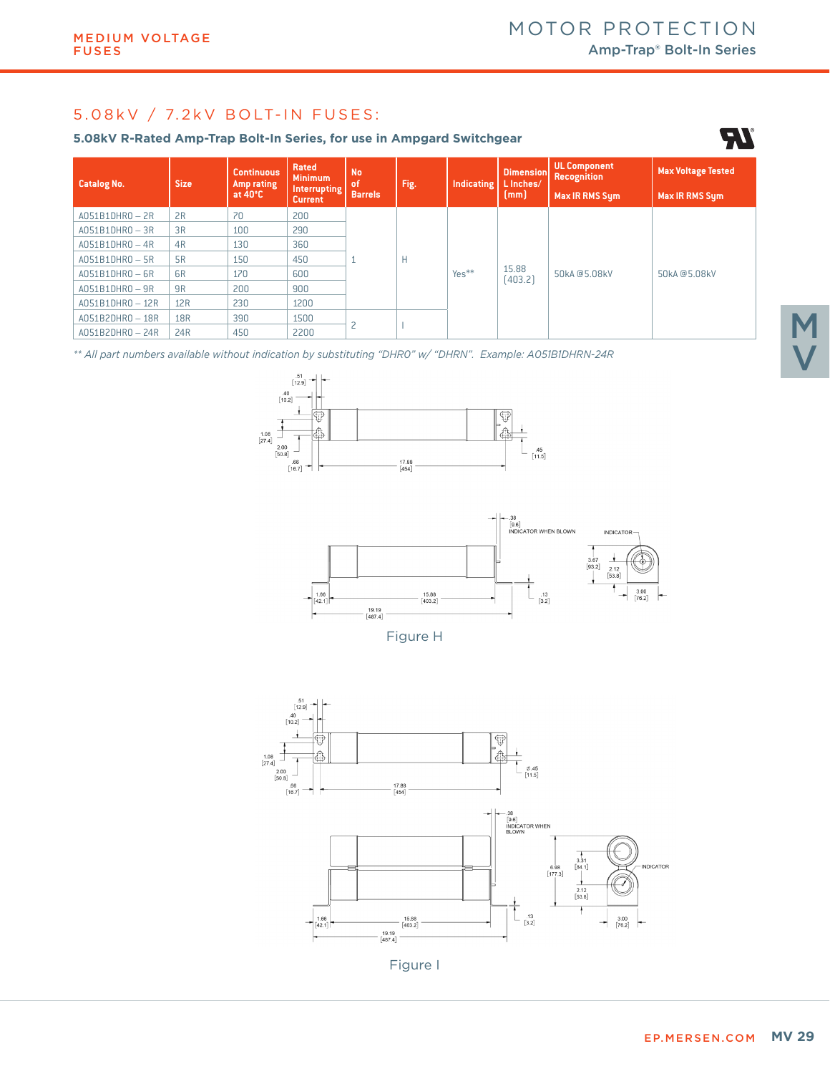# 5.08 k V / 7.2 k V BOLT-IN FUSES:

#### **5.08kV R-Rated Amp-Trap Bolt-In Series, for use in Ampgard Switchgear**

| <b>Catalog No.</b> | <b>Size</b>    | <b>Continuous</b><br>Amp rating<br>at $40^{\circ}$ C | Rated<br><b>Minimum</b><br><b>Interrupting</b><br><b>Current</b> | <b>No</b><br>of<br><b>Barrels</b> | Fig. | Indicating | <b>Dimension</b><br>L Inches/<br>[mm] | UL Component<br><b>Recognition</b><br><b>Max IR RMS Sum</b> | <b>Max Voltage Tested</b><br>Max IR RMS Sym |
|--------------------|----------------|------------------------------------------------------|------------------------------------------------------------------|-----------------------------------|------|------------|---------------------------------------|-------------------------------------------------------------|---------------------------------------------|
| $A051B1DHRO - 2R$  | 2R             | 70                                                   | 200                                                              |                                   | Н    | $Yes**$    | 15.88<br>(403.2)                      | 50kA@5.08kV                                                 | 50kA@5.08kV                                 |
| $A051B1DHRO - 3R$  | 3R             | 100                                                  | 290                                                              |                                   |      |            |                                       |                                                             |                                             |
| $A051B1DHRO - 4R$  | 4R             | 130                                                  | 360                                                              |                                   |      |            |                                       |                                                             |                                             |
| $A051B1DHRO - 5R$  | 5R             | 150                                                  | 450                                                              |                                   |      |            |                                       |                                                             |                                             |
| $A051B1DHRO - 6R$  | 6 <sub>R</sub> | 170                                                  | 600                                                              |                                   |      |            |                                       |                                                             |                                             |
| $A051B1DHRO - 9R$  | 9R             | 200                                                  | 900                                                              |                                   |      |            |                                       |                                                             |                                             |
| A051B1DHR0-12R     | 12R            | 230                                                  | 1200                                                             |                                   |      |            |                                       |                                                             |                                             |
| A051B2DHR0-18R     | <b>18R</b>     | 390                                                  | 1500                                                             |                                   |      |            |                                       |                                                             |                                             |
| $A051B2DHRO - 24R$ | 24R            | 450                                                  | 2200                                                             | n                                 |      |            |                                       |                                                             |                                             |

*\*\* All part numbers available without indication by substituting "DHR0" w/ "DHRN". Example: A051B1DHRN-24R*





Figure H



**AT**